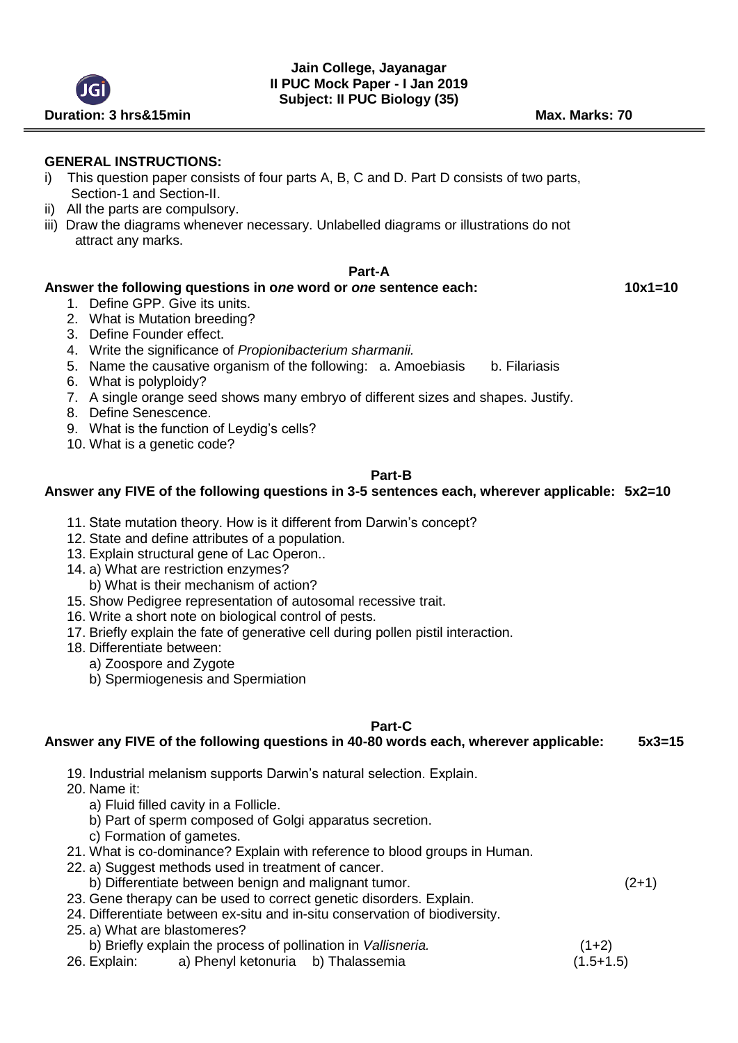## **GENERAL INSTRUCTIONS:**

- i) This question paper consists of four parts A, B, C and D. Part D consists of two parts, Section-1 and Section-II.
- ii) All the parts are compulsory.
- iii) Draw the diagrams whenever necessary. Unlabelled diagrams or illustrations do not attract any marks.

# **Part-A**

# **Answer the following questions in o***ne* **word or** *one* **sentence each: 10x1=10**

- 1. Define GPP. Give its units.
- 2. What is Mutation breeding?
- 3. Define Founder effect.
- 4. Write the significance of *Propionibacterium sharmanii.*
- 5. Name the causative organism of the following: a. Amoebiasis b. Filariasis
- 6. What is polyploidy?
- 7. A single orange seed shows many embryo of different sizes and shapes. Justify.
- 8. Define Senescence.
- 9. What is the function of Leydig's cells?
- 10. What is a genetic code?

## **Part-B**

# **Answer any FIVE of the following questions in 3-5 sentences each, wherever applicable: 5x2=10**

- 11. State mutation theory. How is it different from Darwin's concept?
- 12. State and define attributes of a population.
- 13. Explain structural gene of Lac Operon..
- 14. a) What are restriction enzymes?
	- b) What is their mechanism of action?
- 15. Show Pedigree representation of autosomal recessive trait.
- 16. Write a short note on biological control of pests.
- 17. Briefly explain the fate of generative cell during pollen pistil interaction.
- 18. Differentiate between:
	- a) Zoospore and Zygote
		- b) Spermiogenesis and Spermiation

#### **Part-C**

## **Answer any FIVE of the following questions in 40-80 words each, wherever applicable: 5x3=15**

- 19. Industrial melanism supports Darwin's natural selection. Explain.
- 20. Name it:
	- a) Fluid filled cavity in a Follicle.
	- b) Part of sperm composed of Golgi apparatus secretion.
	- c) Formation of gametes.
- 21. What is co-dominance? Explain with reference to blood groups in Human.
- 22. a) Suggest methods used in treatment of cancer.
	- b) Differentiate between benign and malignant tumor. (2+1)
- 23. Gene therapy can be used to correct genetic disorders. Explain.
- 24. Differentiate between ex-situ and in-situ conservation of biodiversity.
- 25. a) What are blastomeres?
	- b) Briefly explain the process of pollination in *Vallisneria*. (1+2)
- 26. Explain: a) Phenyl ketonuria b) Thalassemia (1.5+1.5)